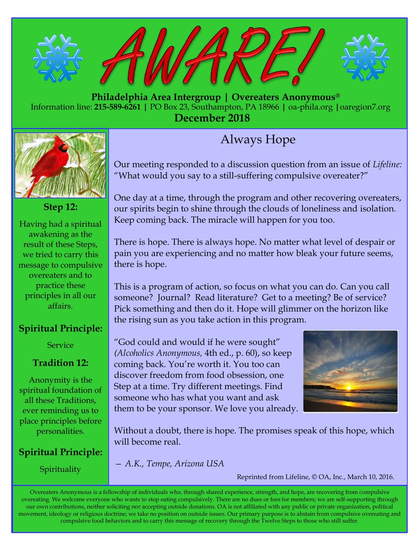

 **Philadelphia Area Intergroup | Overeaters Anonymous®** Information line: **215-589-6261 |** PO Box 23, Southampton, PA 18966 **|** oa-phila.org **|**oaregion7.org **December 2018**



**Step 12:**

Having had a spiritual awakening as the result of these Steps, we tried to carry this message to compulsive overeaters and to practice these principles in all our affairs.

### **Spiritual Principle:**

**Service** 

### **Tradition 12:**

Anonymity is the spiritual foundation of all these Traditions, ever reminding us to place principles before personalities.

## **Spiritual Principle:**

Spirituality

# Always Hope

Our meeting responded to a discussion question from an issue of *Lifeline:*  "What would you say to a still-suffering compulsive overeater?"

One day at a time, through the program and other recovering overeaters, our spirits begin to shine through the clouds of loneliness and isolation. Keep coming back. The miracle will happen for you too.

There is hope. There is always hope. No matter what level of despair or pain you are experiencing and no matter how bleak your future seems, there is hope.

This is a program of action, so focus on what you can do. Can you call someone? Journal? Read literature? Get to a meeting? Be of service? Pick something and then do it. Hope will glimmer on the horizon like the rising sun as you take action in this program.

"God could and would if he were sought" *[\(Alcoholics Anonymous,](http://bookstore.oa.org/pc_product_detail.asp?key=358F612E97FA4B728154EF6E934A8503)* 4th ed., p. 60), so keep coming back. You're worth it. You too can discover freedom from food obsession, one Step at a time. Try different meetings. Find someone who has what you want and ask them to be your sponsor. We love you already.



Without a doubt, there is hope. The promises speak of this hope, which will become real.

*— A.K., Tempe, Arizona USA*

Reprinted from Lifeline, © OA, Inc., March 10, 2016.

Overeaters Anonymous is a fellowship of individuals who, through shared experience, strength, and hope, are recovering from compulsive overeating. We welcome everyone who wants to stop eating compulsively. There are no dues or fees for members; we are self-supporting through our own contributions, neither soliciting nor accepting outside donations. OA is not affiliated with any public or private organization, political movement, ideology or religious doctrine; we take no position on outside issues. Our primary purpose is to abstain from compulsive overeating and compulsive food behaviors and to carry this message of recovery through the Twelve Steps to those who still suffer.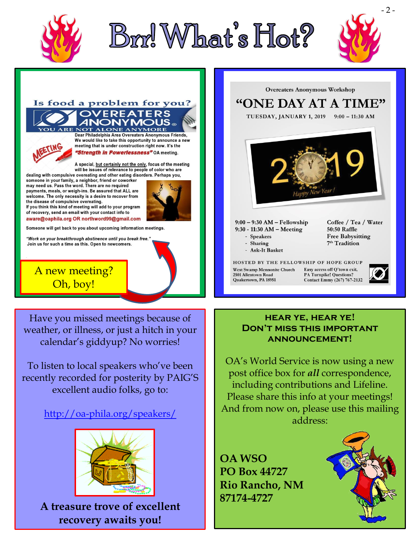





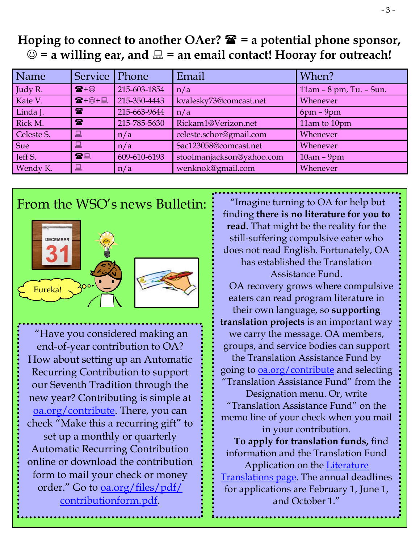# **Hoping to connect to another OAer? = a potential phone sponsor,**   $\odot$  = a willing ear, and  $\Box$  = an email contact! Hooray for outreach!

| Name       | Service                         | Phone        | Email                     | When?                   |
|------------|---------------------------------|--------------|---------------------------|-------------------------|
| Judy R.    | $\mathbf{F} + \odot$            | 215-603-1854 | n/a                       | 11am - 8 pm, Tu. - Sun. |
| Kate V.    | $\mathbf{E} + \oplus + \square$ | 215-350-4443 | kvalesky73@comcast.net    | Whenever                |
| Linda J.   | $\mathbf{r}$                    | 215-663-9644 | n/a                       | $6pm - 9pm$             |
| Rick M.    | $\mathbf{R}$                    | 215-785-5630 | Rickam1@Verizon.net       | 11am to 10pm            |
| Celeste S. | 鳳                               | n/a          | celeste.schor@gmail.com   | Whenever                |
| <b>Sue</b> | 鳳                               | n/a          | Sac123058@comcast.net     | Whenever                |
| Jeff S.    | 雷里                              | 609-610-6193 | stoolmanjackson@yahoo.com | $10am - 9pm$            |
| Wendy K.   | 口                               | n/a          | wenknok@gmail.com         | Whenever                |
|            |                                 |              |                           |                         |

#### $\mathbf{F}_{\mathbf{f}}$ From the WSO's news Bulletin:



"Have you considered making an end-of-year contribution to OA? How about setting up an Automatic Recurring Contribution to support our Seventh Tradition through the new year? Contributing is simple at [oa.org/contribute.](oa.org/contribute) There, you can check "Make this a recurring gift" to set up a monthly or quarterly Automatic Recurring Contribution online or download the contribution form to mail your check or money order." Go to <u>[oa.org/files/pdf/](oa.org/files/pdf/contributionform.pdf)</u> [contributionform](oa.org/files/pdf/contributionform.pdf).pdf.

"Imagine turning to OA for help but finding **there is no literature for you to read.** That might be the reality for the still-suffering compulsive eater who does not read English. Fortunately, OA has established the Translation Assistance Fund. OA recovery grows where compulsive eaters can read program literature in their own language, so **supporting translation projects** is an important way we carry the message. OA members, groups, and service bodies can support the Translation Assistance Fund by going to [oa.org/contribute](https://www.us1.list-manage.com/track/click?u=73645822c06a4c7e0156a79cb&id=da5096e1b0&e=806aca6f6b) and selecting "Translation Assistance Fund" from the Designation menu. Or, write "Translation Assistance Fund" on the memo line of your check when you mail in your contribution. **To apply for translation funds,** find information and the Translation Fund Application on the [Literature](https://www.us1.list-manage.com/track/click?u=73645822c06a4c7e0156a79cb&id=d0902657f8&e=806aca6f6b)  [Translations page.](https://www.us1.list-manage.com/track/click?u=73645822c06a4c7e0156a79cb&id=d0902657f8&e=806aca6f6b) The annual deadlines for applications are February 1, June 1, and October 1."